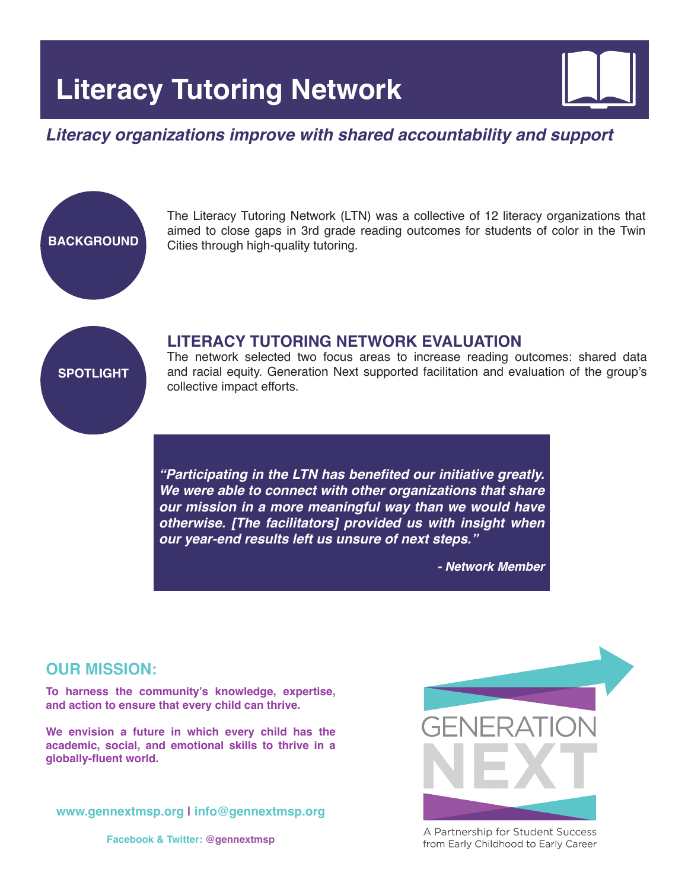

# **Literacy organizations improve with shared accountability and support**

The Literacy Tutoring Network (LTN) was a collective of 12 literacy organizations that aimed to close gaps in 3rd grade reading outcomes for students of color in the Twin Cities through high-quality tutoring.



**BACKGROUND** 

### **LITERACY TUTORING NETWORK EVALUATION**

The network selected two focus areas to increase reading outcomes: shared data and racial equity. Generation Next supported facilitation and evaluation of the group's collective impact efforts.

**"Participating in the LTN has benefited our initiative greatly. We were able to connect with other organizations that share our mission in a more meaningful way than we would have otherwise. [The facilitators] provided us with insight when our year-end results left us unsure of next steps."** 

**- Network Member**

## **OUR MISSION:**

**To harness the community's knowledge, expertise, and action to ensure that every child can thrive.** 

**We envision a future in which every child has the academic, social, and emotional skills to thrive in a globally-fluent world.**

**www.gennextmsp.org | info@gennextmsp.org**

**Facebook & Twitter: @gennextmsp**



A Partnership for Student Success from Early Childhood to Early Career